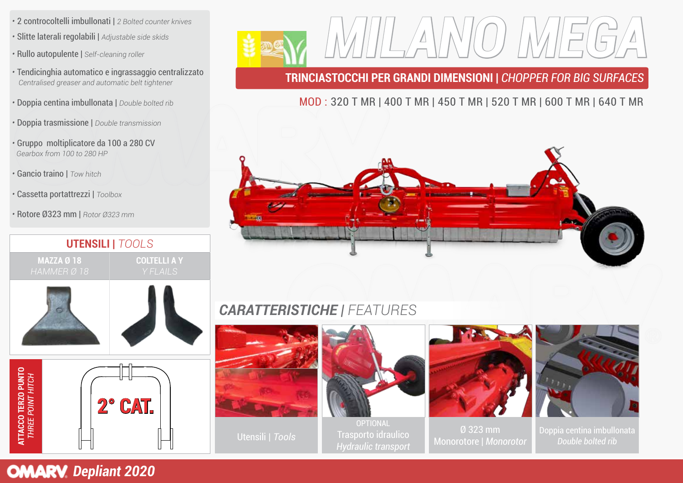- 2 controcoltelli imbullonati | *2 Bolted counter knives*
- Slitte laterali regolabili | *Adjustable side skids*
- Rullo autopulente | *Self-cleaning roller*
- Tendicinghia automatico e ingrassaggio centralizzato *Centralised greaser and automatic belt tightener*
- Doppia centina imbullonata | *Double bolted rib*
- Doppia trasmissione | *Double transmission*
- Gruppo moltiplicatore da 100 a 280 CV *Gearbox from 100 to 280 HP*
- Gancio traino | *Tow hitch*
- Cassetta portattrezzi | *Toolbox*
- Rotore Ø323 mm | *Rotor Ø323 mm*







## **TRINCIASTOCCHI PER GRANDI DIMENSIONI |** *CHOPPER FOR BIG SURFACES*

## MOD : 320 T MR | 400 T MR | 450 T MR | 520 T MR | 600 T MR | 640 T MR



# *CARATTERISTICHE | FEATURES*



Utensili | *Tools*



OPTIONAL Trasporto idraulico



Ø 323 mm Monorotore | *Monorotor*



Doppia centina imbullonata *Double bolted rib*

# **OMARV** Depliant 2020